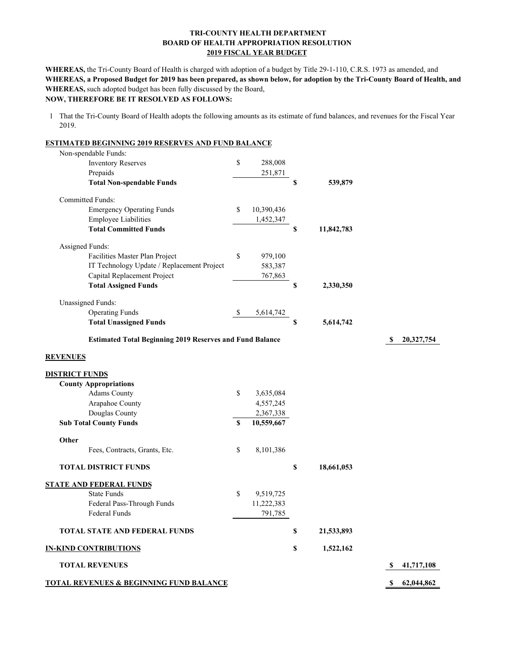### **TRI-COUNTY HEALTH DEPARTMENT BOARD OF HEALTH APPROPRIATION RESOLUTION 2019 FISCAL YEAR BUDGET**

**WHEREAS,** such adopted budget has been fully discussed by the Board, **WHEREAS,** the Tri-County Board of Health is charged with adoption of a budget by Title 29-1-110, C.R.S. 1973 as amended, and **WHEREAS, a Proposed Budget for 2019 has been prepared, as shown below, for adoption by the Tri-County Board of Health, and NOW, THEREFORE BE IT RESOLVED AS FOLLOWS:**

1 That the Tri-County Board of Health adopts the following amounts as its estimate of fund balances, and revenues for the Fiscal Year 2019.

| <b>ESTIMATED BEGINNING 2019 RESERVES AND FUND BALANCE</b>       |             |            |                  |                   |
|-----------------------------------------------------------------|-------------|------------|------------------|-------------------|
| Non-spendable Funds:                                            |             |            |                  |                   |
| <b>Inventory Reserves</b>                                       | \$          | 288,008    |                  |                   |
| Prepaids                                                        |             | 251,871    |                  |                   |
| <b>Total Non-spendable Funds</b>                                |             |            | \$<br>539,879    |                   |
| <b>Committed Funds:</b>                                         |             |            |                  |                   |
| <b>Emergency Operating Funds</b>                                | \$          | 10,390,436 |                  |                   |
| <b>Employee Liabilities</b>                                     |             | 1,452,347  |                  |                   |
| <b>Total Committed Funds</b>                                    |             |            | \$<br>11,842,783 |                   |
| Assigned Funds:                                                 |             |            |                  |                   |
| Facilities Master Plan Project                                  | \$          | 979,100    |                  |                   |
| IT Technology Update / Replacement Project                      |             | 583,387    |                  |                   |
| Capital Replacement Project                                     |             | 767,863    |                  |                   |
| <b>Total Assigned Funds</b>                                     |             |            | \$<br>2,330,350  |                   |
| <b>Unassigned Funds:</b>                                        |             |            |                  |                   |
| <b>Operating Funds</b>                                          | -\$         | 5,614,742  |                  |                   |
| <b>Total Unassigned Funds</b>                                   |             |            | \$<br>5,614,742  |                   |
| <b>Estimated Total Beginning 2019 Reserves and Fund Balance</b> |             |            |                  | 20,327,754<br>S   |
| <b>REVENUES</b>                                                 |             |            |                  |                   |
| <b>DISTRICT FUNDS</b>                                           |             |            |                  |                   |
| <b>County Appropriations</b>                                    |             |            |                  |                   |
| <b>Adams County</b>                                             | \$          | 3,635,084  |                  |                   |
| Arapahoe County                                                 |             | 4,557,245  |                  |                   |
| Douglas County                                                  |             | 2,367,338  |                  |                   |
| <b>Sub Total County Funds</b>                                   | $\mathbf S$ | 10,559,667 |                  |                   |
| Other                                                           |             |            |                  |                   |
| Fees, Contracts, Grants, Etc.                                   | \$          | 8,101,386  |                  |                   |
| <b>TOTAL DISTRICT FUNDS</b>                                     |             |            | \$<br>18,661,053 |                   |
| <b>STATE AND FEDERAL FUNDS</b>                                  |             |            |                  |                   |
| <b>State Funds</b>                                              | \$          | 9,519,725  |                  |                   |
| Federal Pass-Through Funds                                      |             | 11,222,383 |                  |                   |
| Federal Funds                                                   |             | 791,785    |                  |                   |
| <b>TOTAL STATE AND FEDERAL FUNDS</b>                            |             |            | \$<br>21,533,893 |                   |
| <b>IN-KIND CONTRIBUTIONS</b>                                    |             |            | \$<br>1,522,162  |                   |
| <b>TOTAL REVENUES</b>                                           |             |            |                  | 41,717,108<br>S   |
| <b>TOTAL REVENUES &amp; BEGINNING FUND BALANCE</b>              |             |            |                  | 62,044,862<br>-SS |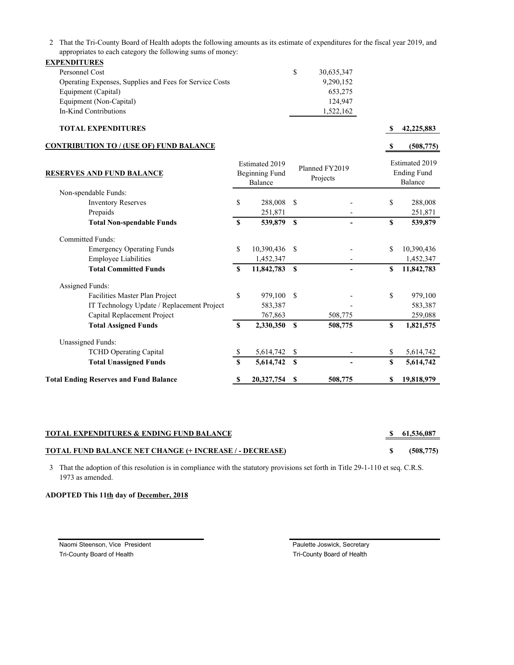2 That the Tri-County Board of Health adopts the following amounts as its estimate of expenditures for the fiscal year 2019, and appropriates to each category the following sums of money:

| <b>EXPENDITURES</b>                                     |   |            |
|---------------------------------------------------------|---|------------|
| Personnel Cost                                          | S | 30,635,347 |
| Operating Expenses, Supplies and Fees for Service Costs |   | 9,290,152  |
| Equipment (Capital)                                     |   | 653,275    |
| Equipment (Non-Capital)                                 |   | 124,947    |
| In-Kind Contributions                                   |   | 1,522,162  |

#### **TOTAL EXPENDITURES \$ 42,225,883**

#### **CONTRIBUTION TO / (USE OF) FUND BALANCE**

**\$ (508,775)**

| <b>RESERVES AND FUND BALANCE</b>              |             | <b>Estimated 2019</b><br><b>Beginning Fund</b><br>Balance |               | Planned FY2019<br>Projects |             | Estimated 2019<br><b>Ending Fund</b><br>Balance |  |  |
|-----------------------------------------------|-------------|-----------------------------------------------------------|---------------|----------------------------|-------------|-------------------------------------------------|--|--|
| Non-spendable Funds:                          |             |                                                           |               |                            |             |                                                 |  |  |
| <b>Inventory Reserves</b>                     | \$          | 288,008                                                   | \$            |                            | \$          | 288,008                                         |  |  |
| Prepaids                                      |             | 251,871                                                   |               |                            |             | 251,871                                         |  |  |
| <b>Total Non-spendable Funds</b>              | S           | 539,879                                                   | $\mathbf S$   |                            | S           | 539,879                                         |  |  |
| <b>Committed Funds:</b>                       |             |                                                           |               |                            |             |                                                 |  |  |
| <b>Emergency Operating Funds</b>              | \$          | 10,390,436                                                | <sup>\$</sup> |                            | \$          | 10,390,436                                      |  |  |
| <b>Employee Liabilities</b>                   |             | 1,452,347                                                 |               |                            |             | 1,452,347                                       |  |  |
| <b>Total Committed Funds</b>                  | S           | 11,842,783                                                | $\mathbf{s}$  |                            | S           | 11,842,783                                      |  |  |
| Assigned Funds:                               |             |                                                           |               |                            |             |                                                 |  |  |
| Facilities Master Plan Project                | \$          | 979,100                                                   | \$.           |                            | \$          | 979,100                                         |  |  |
| IT Technology Update / Replacement Project    |             | 583,387                                                   |               |                            |             | 583,387                                         |  |  |
| Capital Replacement Project                   |             | 767,863                                                   |               | 508,775                    |             | 259,088                                         |  |  |
| <b>Total Assigned Funds</b>                   | $\mathbf S$ | 2,330,350                                                 | S             | 508,775                    | $\mathbf S$ | 1,821,575                                       |  |  |
| <b>Unassigned Funds:</b>                      |             |                                                           |               |                            |             |                                                 |  |  |
| <b>TCHD Operating Capital</b>                 | S.          | 5,614,742                                                 | \$            |                            | \$          | 5,614,742                                       |  |  |
| <b>Total Unassigned Funds</b>                 | S           | 5,614,742                                                 | S             |                            | \$          | 5,614,742                                       |  |  |
| <b>Total Ending Reserves and Fund Balance</b> |             | 20,327,754                                                | S             | 508,775                    | \$          | 19,818,979                                      |  |  |

## **TOTAL EXPENDITURES & ENDING FUND BALANCE \$ 61,536,087**

# **TOTAL FUND BALANCE NET CHANGE (+ INCREASE / - DECREASE) \$ (508,775)**

3 That the adoption of this resolution is in compliance with the statutory provisions set forth in Title 29-1-110 et seq. C.R.S. 1973 as amended.

### **ADOPTED This 11th day of December, 2018**

Naomi Steenson, Vice President **Paulette Joswick, Secretary** Paulette Joswick, Secretary Tri-County Board of Health Tri-County Board of Health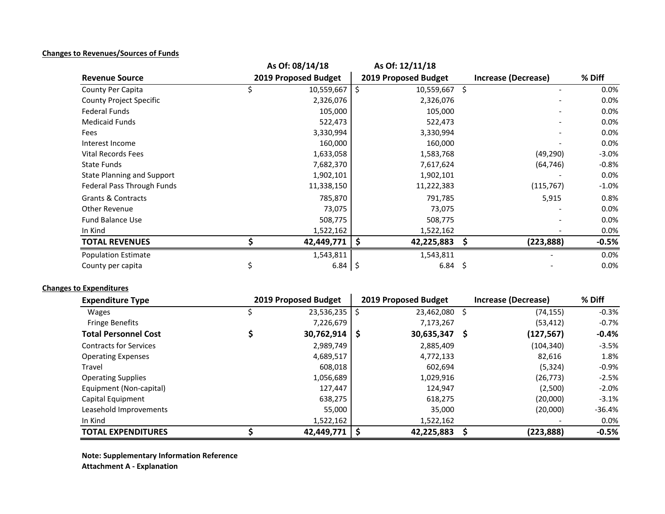# **Changes to Revenues/Sources of Funds**

|                                   | As Of: 08/14/18      | As Of: 12/11/18      |                  |                          |         |  |
|-----------------------------------|----------------------|----------------------|------------------|--------------------------|---------|--|
| <b>Revenue Source</b>             | 2019 Proposed Budget | 2019 Proposed Budget |                  | Increase (Decrease)      | % Diff  |  |
| County Per Capita                 | 10,559,667           | -\$                  | Ŝ.<br>10,559,667 |                          | $0.0\%$ |  |
| <b>County Project Specific</b>    | 2,326,076            |                      | 2,326,076        |                          | 0.0%    |  |
| <b>Federal Funds</b>              | 105,000              |                      | 105,000          |                          | 0.0%    |  |
| <b>Medicaid Funds</b>             | 522,473              |                      | 522,473          | $\overline{\phantom{a}}$ | 0.0%    |  |
| Fees                              | 3,330,994            |                      | 3,330,994        |                          | $0.0\%$ |  |
| Interest Income                   | 160,000              |                      | 160,000          |                          | 0.0%    |  |
| <b>Vital Records Fees</b>         | 1,633,058            |                      | 1,583,768        | (49, 290)                | $-3.0%$ |  |
| <b>State Funds</b>                | 7,682,370            |                      | 7,617,624        | (64, 746)                | $-0.8%$ |  |
| <b>State Planning and Support</b> | 1,902,101            |                      | 1,902,101        |                          | 0.0%    |  |
| Federal Pass Through Funds        | 11,338,150           |                      | 11,222,383       | (115, 767)               | $-1.0%$ |  |
| <b>Grants &amp; Contracts</b>     | 785,870              |                      | 791,785          | 5,915                    | 0.8%    |  |
| <b>Other Revenue</b>              | 73,075               |                      | 73,075           |                          | 0.0%    |  |
| <b>Fund Balance Use</b>           | 508,775              |                      | 508,775          |                          | 0.0%    |  |
| In Kind                           | 1,522,162            |                      | 1,522,162        |                          | 0.0%    |  |
| <b>TOTAL REVENUES</b>             | 42,449,771           | \$                   | \$<br>42,225,883 | (223, 888)               | $-0.5%$ |  |
| <b>Population Estimate</b>        | 1,543,811            |                      | 1,543,811        |                          | 0.0%    |  |
| County per capita                 | $6.84$ \$            |                      | 6.84<br>\$       |                          | 0.0%    |  |

# **Changes to Expenditures**

| <b>Expenditure Type</b>       | 2019 Proposed Budget |    | 2019 Proposed Budget |   | Increase (Decrease) | % Diff   |
|-------------------------------|----------------------|----|----------------------|---|---------------------|----------|
| <b>Wages</b>                  | 23,536,235           | S  | 23,462,080           | S | (74, 155)           | $-0.3%$  |
| <b>Fringe Benefits</b>        | 7,226,679            |    | 7,173,267            |   | (53, 412)           | $-0.7%$  |
| <b>Total Personnel Cost</b>   | 30,762,914           | -S | 30,635,347           | S | (127, 567)          | $-0.4\%$ |
| <b>Contracts for Services</b> | 2,989,749            |    | 2,885,409            |   | (104, 340)          | $-3.5%$  |
| <b>Operating Expenses</b>     | 4,689,517            |    | 4,772,133            |   | 82,616              | 1.8%     |
| Travel                        | 608,018              |    | 602,694              |   | (5, 324)            | $-0.9\%$ |
| <b>Operating Supplies</b>     | 1,056,689            |    | 1,029,916            |   | (26, 773)           | $-2.5%$  |
| Equipment (Non-capital)       | 127,447              |    | 124,947              |   | (2,500)             | $-2.0%$  |
| Capital Equipment             | 638,275              |    | 618,275              |   | (20,000)            | $-3.1%$  |
| Leasehold Improvements        | 55,000               |    | 35,000               |   | (20,000)            | $-36.4%$ |
| In Kind                       | 1,522,162            |    | 1,522,162            |   |                     | $0.0\%$  |
| <b>TOTAL EXPENDITURES</b>     | 42,449,771           | -S | 42,225,883           |   | (223, 888)          | $-0.5%$  |

**Note: Supplementary Information Reference Attachment A ‐ Explanation**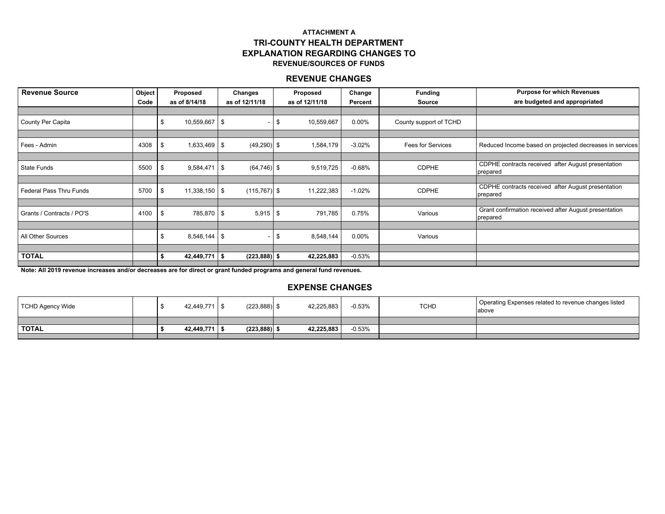# **ATTACHMENT ATRI-COUNTY HEALTH DEPARTMENT EXPLANATION REGARDING CHANGES TOREVENUE/SOURCES OF FUNDS**

# **REVENUE CHANGES**

| <b>Revenue Source</b>          | Object | Proposed<br>Changes    |                 | Proposed |                | Change   | <b>Funding</b>           | <b>Purpose for which Revenues</b>                                 |
|--------------------------------|--------|------------------------|-----------------|----------|----------------|----------|--------------------------|-------------------------------------------------------------------|
|                                | Code   | as of 8/14/18          | as of 12/11/18  |          | as of 12/11/18 | Percent  | <b>Source</b>            | are budgeted and appropriated                                     |
|                                |        |                        |                 |          |                |          |                          |                                                                   |
| County Per Capita              |        | 10,559,667 \$          |                 | -96      | 10,559,667     | 0.00%    | County support of TCHD   |                                                                   |
|                                |        |                        |                 |          |                |          |                          |                                                                   |
| Fees - Admin                   | 4308   | $1,633,469$ \$<br>- \$ | $(49,290)$ \$   |          | 1,584,179      | $-3.02%$ | <b>Fees for Services</b> | Reduced Income based on projected decreases in services           |
|                                |        |                        |                 |          |                |          |                          |                                                                   |
| <b>State Funds</b>             | 5500   | $9,584,471$ \$<br>- \$ | $(64, 746)$ \$  |          | 9,519,725      | $-0.68%$ | <b>CDPHE</b>             | CDPHE contracts received after August presentation<br>prepared    |
|                                |        |                        |                 |          |                |          |                          |                                                                   |
| <b>Federal Pass Thru Funds</b> | 5700   | $11,338,150$ \$<br>-\$ | $(115, 767)$ \$ |          | 11,222,383     | $-1.02%$ | <b>CDPHE</b>             | CDPHE contracts received after August presentation<br>prepared    |
|                                |        |                        |                 |          |                |          |                          |                                                                   |
| Grants / Contracts / PO'S      | 4100   | 785,870 \$<br>- \$     | 5,915           | - \$     | 791,785        | 0.75%    | Various                  | Grant confirmation received after August presentation<br>prepared |
|                                |        |                        |                 |          |                |          |                          |                                                                   |
| All Other Sources              |        | $8,548,144$ \$         |                 | - \$     | 8,548,144      | 0.00%    | Various                  |                                                                   |
|                                |        |                        |                 |          |                |          |                          |                                                                   |
| <b>TOTAL</b>                   |        | $42,449,771$ \$        | $(223, 888)$ \$ |          | 42,225,883     | $-0.53%$ |                          |                                                                   |

**Note: All 2019 revenue increases and/or decreases are for direct or grant funded programs and general fund revenues.** 

# **EXPENSE CHANGES**

| TCHD Agency Wide |  | 42.449.771 \$   | $(223, 888)$ \$ | 42,225,883 | $-0.53%$ | <b>TCHD</b> | Operating Expenses related to revenue changes listed<br>above |
|------------------|--|-----------------|-----------------|------------|----------|-------------|---------------------------------------------------------------|
|                  |  |                 |                 |            |          |             |                                                               |
| <b>TOTAL</b>     |  | 42.449.771   \$ | $(223,888)$ \$  | 42.225.883 | $-0.53%$ |             |                                                               |
|                  |  |                 |                 |            |          |             |                                                               |